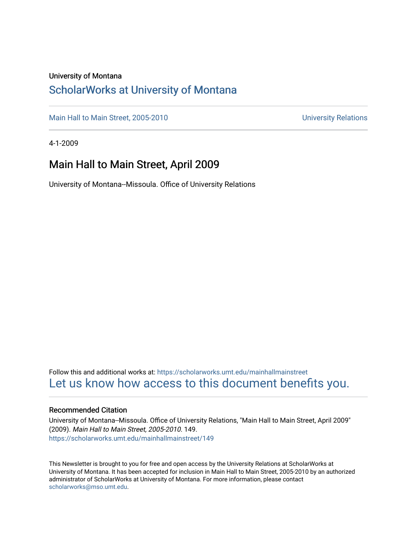### University of Montana

### [ScholarWorks at University of Montana](https://scholarworks.umt.edu/)

[Main Hall to Main Street, 2005-2010](https://scholarworks.umt.edu/mainhallmainstreet) Main Hall to Main Street, 2005-2010

4-1-2009

### Main Hall to Main Street, April 2009

University of Montana--Missoula. Office of University Relations

Follow this and additional works at: [https://scholarworks.umt.edu/mainhallmainstreet](https://scholarworks.umt.edu/mainhallmainstreet?utm_source=scholarworks.umt.edu%2Fmainhallmainstreet%2F149&utm_medium=PDF&utm_campaign=PDFCoverPages) [Let us know how access to this document benefits you.](https://goo.gl/forms/s2rGfXOLzz71qgsB2) 

#### Recommended Citation

University of Montana--Missoula. Office of University Relations, "Main Hall to Main Street, April 2009" (2009). Main Hall to Main Street, 2005-2010. 149. [https://scholarworks.umt.edu/mainhallmainstreet/149](https://scholarworks.umt.edu/mainhallmainstreet/149?utm_source=scholarworks.umt.edu%2Fmainhallmainstreet%2F149&utm_medium=PDF&utm_campaign=PDFCoverPages)

This Newsletter is brought to you for free and open access by the University Relations at ScholarWorks at University of Montana. It has been accepted for inclusion in Main Hall to Main Street, 2005-2010 by an authorized administrator of ScholarWorks at University of Montana. For more information, please contact [scholarworks@mso.umt.edu.](mailto:scholarworks@mso.umt.edu)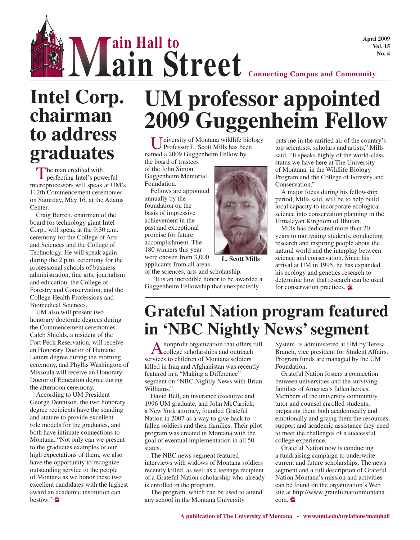**April 2009 Vol. 15**

**No. 4 Connecting Campus and Community**<br> **aim Street Connecting Campus and Community ain Street**

## **Intel Corp. chairman to address graduates**

The man credited with<br>
perfecting Intel's powerful microprocessors will speak at UM's 112th Commencement ceremonies on Saturday, May 16, at the Adams Center.

Craig Barrett, chairman of the board for technology giant Intel Corp., will speak at the 9:30 a.m. ceremony for the College of Arts and Sciences and the College of Technology. He will speak again during the 2 p.m. ceremony for the professional schools of business administration, fine arts, journalism and education, the College of Forestry and Conservation, and the College Health Professions and Biomedical Sciences.

UM also will present two honorary doctorate degrees during the Commencement ceremonies. Caleb Shields, a resident of the Fort Peck Reservation, will receive an Honorary Doctor of Humane Letters degree during the morning ceremony, and Phyllis Washington of Missoula will receive an Honorary Doctor of Education degree during the afternoon ceremony.

According to UM President George Dennison, the two honorary degree recipients have the standing and stature to provide excellent role models for the graduates, and both have intimate connections to Montana. "Not only can we present to the graduates examples of our high expectations of them, we also have the opportunity to recognize outstanding service to the people of Montana as we honor these two excellent candidates with the highest award an academic institution can bestow."

# **UM professor appointed 2009 Guggenheim Fellow**

Iniversity of Montana wildlife biology Professor L. Scott Mills has been named a 2009 Guggenheim Fellow by

the board of trustees of the John Simon Guggenheim Memorial Foundation.

Fellows are appointed annually by the foundation on the basis of impressive achievement in the past and exceptional promise for future accomplishment. The 180 winners this year were chosen from 3,000 applicants from all areas



**L. Scott Mills**

of the sciences, arts and scholarship. "It is an incredible honor to be awarded a Guggenheim Fellowship that unexpectedly

puts me in the rarified air of the country's top scientists, scholars and artists," Mills said. "It speaks highly of the world-class status we have here at The University of Montana, in the Wildlife Biology Program and the College of Forestry and Conservation."

A major focus during his fellowship period, Mills said, will be to help build local capacity to incorporate ecological science into conservation planning in the Himalayan Kingdom of Bhutan.

Mills has dedicated more than 20 years to motivating students, conducting research and inspiring people about the natural world and the interplay between science and conservation. Since his arrival at UM in 1995, he has expanded his ecology and genetics research to determine how that research can be used for conservation practices.

## **Grateful Nation program featured in 'NBC Nightly News' segment**

Anonprofit organization that offers full college scholarships and outreach services to children of Montana soldiers killed in Iraq and Afghanistan was recently featured in a "Making a Difference" segment on "NBC Nightly News with Brian Williams."

David Bell, an insurance executive and 1996 UM graduate, and John McCarrick, a New York attorney, founded Grateful Nation in 2007 as a way to give back to fallen soldiers and their families. Their pilot program was created in Montana with the goal of eventual implementation in all 50 states.

The NBC news segment featured interviews with widows of Montana soldiers recently killed, as well as a teenage recipient of a Grateful Nation scholarship who already is enrolled in the program.

The program, which can be used to attend any school in the Montana University

System, is administered at UM by Teresa Branch, vice president for Student Affairs. Program funds are managed by the UM Foundation.

Grateful Nation fosters a connection between universities and the surviving families of America's fallen heroes. Members of the university community tutor and counsel enrolled students, preparing them both academically and emotionally and giving them the resources, support and academic assistance they need to meet the challenges of a successful college experience.

Grateful Nation now is conducting a fundraising campaign to underwrite current and future scholarships. The news segment and a full description of Grateful Nation Montana's mission and activities can be found on the organization's Web site at http://www.gratefulnationmontana. com.